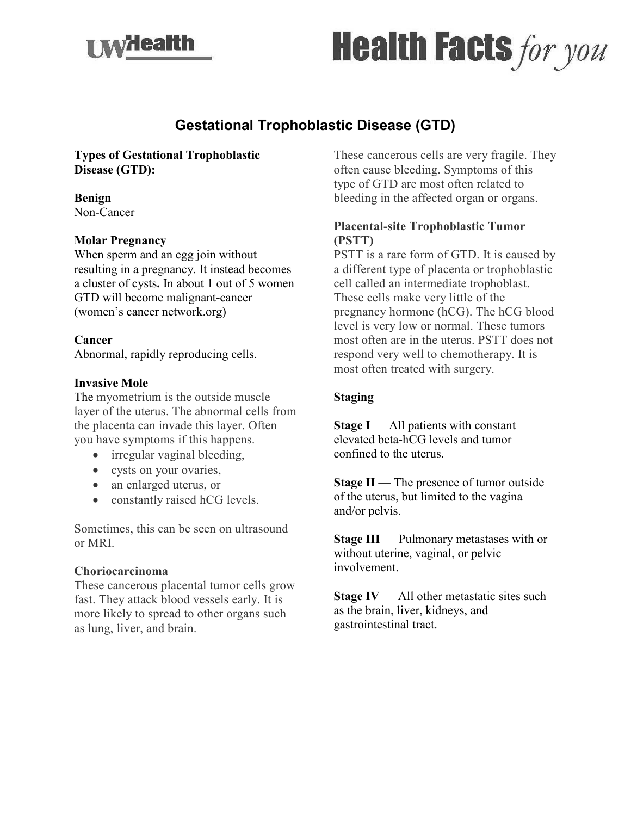



# **Gestational Trophoblastic Disease (GTD)**

## **Types of Gestational Trophoblastic Disease (GTD):**

#### **Benign**

Non-Cancer

#### **Molar Pregnancy**

When sperm and an egg join without resulting in a pregnancy. It instead becomes a cluster of cysts**.** In about 1 out of 5 women GTD will become malignant-cancer (women's cancer network.org)

#### **Cancer**

Abnormal, rapidly reproducing cells.

#### **Invasive Mole**

The myometrium is the outside muscle layer of the uterus. The abnormal cells from the placenta can invade this layer. Often you have symptoms if this happens.

- irregular vaginal bleeding,
- cysts on your ovaries,
- an enlarged uterus, or
- constantly raised hCG levels.

Sometimes, this can be seen on ultrasound or MRI.

#### **Choriocarcinoma**

These cancerous placental tumor cells grow fast. They attack blood vessels early. It is more likely to spread to other organs such as lung, liver, and brain.

These cancerous cells are very fragile. They often cause bleeding. Symptoms of this type of GTD are most often related to bleeding in the affected organ or organs.

## **Placental-site Trophoblastic Tumor (PSTT)**

PSTT is a rare form of GTD. It is caused by a different type of placenta or trophoblastic cell called an intermediate trophoblast. These cells make very little of the pregnancy hormone (hCG). The hCG blood level is very low or normal. These tumors most often are in the uterus. PSTT does not respond very well to chemotherapy. It is most often treated with surgery.

## **Staging**

**Stage I** — All patients with constant elevated beta-hCG levels and tumor confined to the uterus.

**Stage II** — The presence of tumor outside of the uterus, but limited to the vagina and/or pelvis.

**Stage III** — Pulmonary metastases with or without uterine, vaginal, or pelvic involvement.

**Stage IV** — All other metastatic sites such as the brain, liver, kidneys, and gastrointestinal tract.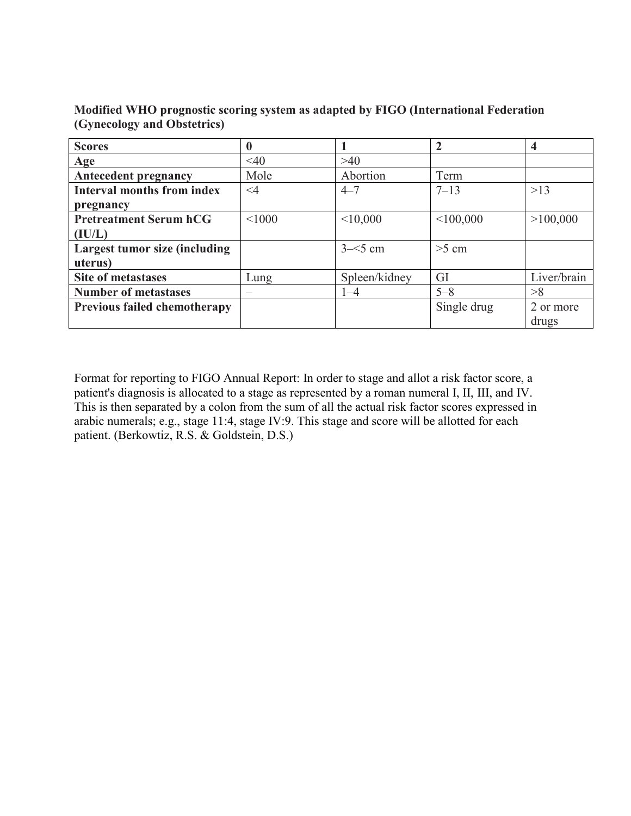| <b>Scores</b>                        |          |               | $\overline{2}$ | $\overline{\mathbf{4}}$ |
|--------------------------------------|----------|---------------|----------------|-------------------------|
| Age                                  | $<$ 40   | >40           |                |                         |
| <b>Antecedent pregnancy</b>          | Mole     | Abortion      | Term           |                         |
| <b>Interval months from index</b>    | $\leq 4$ | $4 - 7$       | $7 - 13$       | >13                     |
| pregnancy                            |          |               |                |                         |
| <b>Pretreatment Serum hCG</b>        | < 1000   | < 10,000      | < 100,000      | >100,000                |
| (IU/L)                               |          |               |                |                         |
| <b>Largest tumor size (including</b> |          | $3 - 5$ cm    | $>5$ cm        |                         |
| uterus)                              |          |               |                |                         |
| <b>Site of metastases</b>            | Lung     | Spleen/kidney | GI             | Liver/brain             |
| <b>Number of metastases</b>          |          | $1 - 4$       | $5 - 8$        | >8                      |
| <b>Previous failed chemotherapy</b>  |          |               | Single drug    | 2 or more               |
|                                      |          |               |                | drugs                   |

**Modified WHO prognostic scoring system as adapted by FIGO (International Federation (Gynecology and Obstetrics)**

Format for reporting to FIGO Annual Report: In order to stage and allot a risk factor score, a patient's diagnosis is allocated to a stage as represented by a roman numeral I, II, III, and IV. This is then separated by a colon from the sum of all the actual risk factor scores expressed in arabic numerals; e.g., stage 11:4, stage IV:9. This stage and score will be allotted for each patient. (Berkowtiz, R.S. & Goldstein, D.S.)